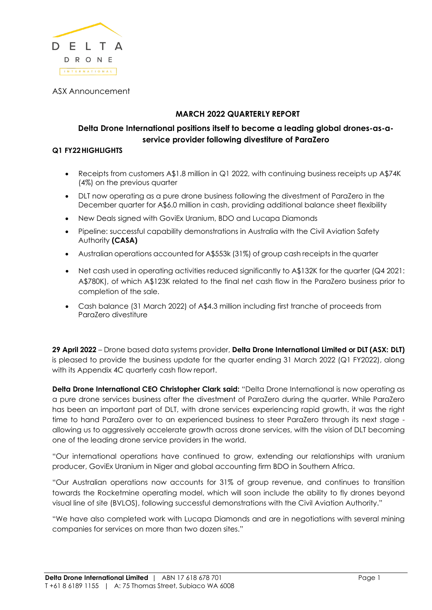

ASX Announcement

# **MARCH 2022 QUARTERLY REPORT**

# **Delta Drone International positions itself to become a leading global drones-as-aservice provider following divestiture of ParaZero**

#### **Q1 FY22HIGHLIGHTS**

- Receipts from customers A\$1.8 million in Q1 2022, with continuing business receipts up A\$74K (4%) on the previous quarter
- DLT now operating as a pure drone business following the divestment of ParaZero in the December quarter for A\$6.0 million in cash, providing additional balance sheet flexibility
- New Deals signed with GoviEx Uranium, BDO and Lucapa Diamonds
- Pipeline: successful capability demonstrations in Australia with the Civil Aviation Safety Authority **(CASA)**
- Australian operations accounted for A\$553k (31%) of group cash receipts in the quarter
- Net cash used in operating activities reduced significantly to A\$132K for the quarter (Q4 2021: A\$780K), of which A\$123K related to the final net cash flow in the ParaZero business prior to completion of the sale.
- Cash balance (31 March 2022) of A\$4.3 million including first tranche of proceeds from ParaZero divestiture

**29 April 2022** – Drone based data systems provider, **Delta Drone International Limited or DLT (ASX: DLT)**  is pleased to provide the business update for the quarter ending 31 March 2022 (Q1 FY2022), along with its Appendix 4C quarterly cash flow report.

**Delta Drone International CEO Christopher Clark said:** "Delta Drone International is now operating as a pure drone services business after the divestment of ParaZero during the quarter. While ParaZero has been an important part of DLT, with drone services experiencing rapid growth, it was the right time to hand ParaZero over to an experienced business to steer ParaZero through its next stage allowing us to aggressively accelerate growth across drone services, with the vision of DLT becoming one of the leading drone service providers in the world.

"Our international operations have continued to grow, extending our relationships with uranium producer, GoviEx Uranium in Niger and global accounting firm BDO in Southern Africa.

"Our Australian operations now accounts for 31% of group revenue, and continues to transition towards the Rocketmine operating model, which will soon include the ability to fly drones beyond visual line of site (BVLOS), following successful demonstrations with the Civil Aviation Authority."

"We have also completed work with Lucapa Diamonds and are in negotiations with several mining companies for services on more than two dozen sites."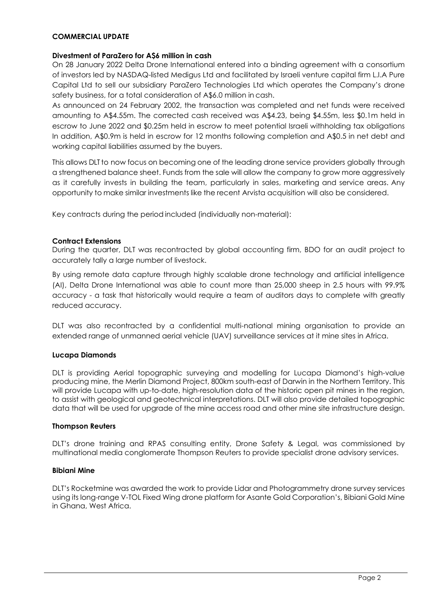#### **COMMERCIAL UPDATE**

#### **Divestment of ParaZero for A\$6 million in cash**

On 28 January 2022 Delta Drone International entered into a binding agreement with a consortium of investors led by NASDAQ-listed Medigus Ltd and facilitated by Israeli venture capital firm L.I.A Pure Capital Ltd to sell our subsidiary ParaZero Technologies Ltd which operates the Company's drone safety business, for a total consideration of A\$6.0 million in cash.

As announced on 24 February 2002, the transaction was completed and net funds were received amounting to A\$4.55m. The corrected cash received was A\$4.23, being \$4.55m, less \$0.1m held in escrow to June 2022 and \$0.25m held in escrow to meet potential Israeli withholding tax obligations In addition, A\$0.9m is held in escrow for 12 months following completion and A\$0.5 in net debt and working capital liabilities assumed by the buyers.

This allows DLT to now focus on becoming one of the leading drone service providers globally through a strengthened balance sheet. Funds from the sale will allow the company to grow more aggressively as it carefully invests in building the team, particularly in sales, marketing and service areas. Any opportunity to make similar investments like the recent Arvista acquisition will also be considered.

Key contracts during the period included (individually non-material):

#### **Contract Extensions**

During the quarter, DLT was recontracted by global accounting firm, BDO for an audit project to accurately tally a large number of livestock.

By using remote data capture through highly scalable drone technology and artificial intelligence (AI), Delta Drone International was able to count more than 25,000 sheep in 2.5 hours with 99.9% accuracy - a task that historically would require a team of auditors days to complete with greatly reduced accuracy.

DLT was also recontracted by a confidential multi-national mining organisation to provide an extended range of unmanned aerial vehicle (UAV) surveillance services at it mine sites in Africa.

#### **Lucapa Diamonds**

DLT is providing Aerial topographic surveying and modelling for Lucapa Diamond's high-value producing mine, the Merlin Diamond Project, 800km south-east of Darwin in the Northern Territory. This will provide Lucapa with up-to-date, high-resolution data of the historic open pit mines in the region, to assist with geological and geotechnical interpretations. DLT will also provide detailed topographic data that will be used for upgrade of the mine access road and other mine site infrastructure design.

#### **Thompson Reuters**

DLT's drone training and RPAS consulting entity, Drone Safety & Legal, was commissioned by multinational media conglomerate Thompson Reuters to provide specialist drone advisory services.

#### **Bibiani Mine**

DLT's Rocketmine was awarded the work to provide Lidar and Photogrammetry drone survey services using its long-range V-TOL Fixed Wing drone platform for Asante Gold Corporation's, Bibiani Gold Mine in Ghana, West Africa.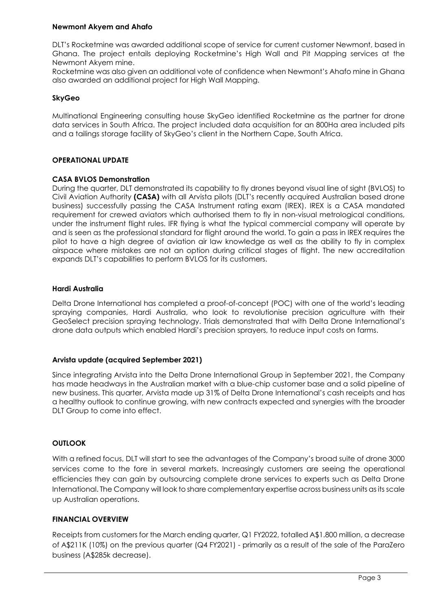#### **Newmont Akyem and Ahafo**

DLT's Rocketmine was awarded additional scope of service for current customer Newmont, based in Ghana. The project entails deploying Rocketmine's High Wall and Pit Mapping services at the Newmont Akyem mine.

Rocketmine was also given an additional vote of confidence when Newmont's Ahafo mine in Ghana also awarded an additional project for High Wall Mapping.

# **SkyGeo**

Multinational Engineering consulting house SkyGeo identified Rocketmine as the partner for drone data services in South Africa. The project included data acquisition for an 800Ha area included pits and a tailings storage facility of SkyGeo's client in the Northern Cape, South Africa.

# **OPERATIONAL UPDATE**

# **CASA BVLOS Demonstration**

During the quarter, DLT demonstrated its capability to fly drones beyond visual line of sight (BVLOS) to Civil Aviation Authority **(CASA)** with all Arvista pilots (DLT's recently acquired Australian based drone business) successfully passing the CASA Instrument rating exam (IREX). IREX is a CASA mandated requirement for crewed aviators which authorised them to fly in non-visual metrological conditions, under the instrument flight rules. IFR flying is what the typical commercial company will operate by and is seen as the professional standard for flight around the world. To gain a pass in IREX requires the pilot to have a high degree of aviation air law knowledge as well as the ability to fly in complex airspace where mistakes are not an option during critical stages of flight. The new accreditation expands DLT's capabilities to perform BVLOS for its customers.

# **Hardi Australia**

Delta Drone International has completed a proof-of-concept (POC) with one of the world's leading spraying companies, Hardi Australia, who look to revolutionise precision agriculture with their GeoSelect precision spraying technology. Trials demonstrated that with Delta Drone International's drone data outputs which enabled Hardi's precision sprayers, to reduce input costs on farms.

# **Arvista update (acquired September 2021)**

Since integrating Arvista into the Delta Drone International Group in September 2021, the Company has made headways in the Australian market with a blue-chip customer base and a solid pipeline of new business. This quarter, Arvista made up 31% of Delta Drone International's cash receipts and has a healthy outlook to continue growing, with new contracts expected and synergies with the broader DLT Group to come into effect.

# **OUTLOOK**

With a refined focus, DLT will start to see the advantages of the Company's broad suite of drone 3000 services come to the fore in several markets. Increasingly customers are seeing the operational efficiencies they can gain by outsourcing complete drone services to experts such as Delta Drone International. The Company will look to share complementary expertise across business units asits scale up Australian operations.

# **FINANCIAL OVERVIEW**

Receipts from customers for the March ending quarter, Q1 FY2022, totalled A\$1.800 million, a decrease of A\$211K (10%) on the previous quarter (Q4 FY2021) - primarily as a result of the sale of the ParaZero business (A\$285k decrease).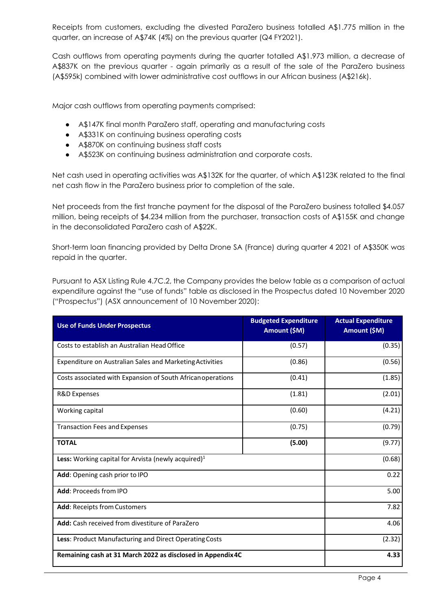Receipts from customers, excluding the divested ParaZero business totalled A\$1.775 million in the quarter, an increase of A\$74K (4%) on the previous quarter (Q4 FY2021).

Cash outflows from operating payments during the quarter totalled A\$1.973 million, a decrease of A\$837K on the previous quarter - again primarily as a result of the sale of the ParaZero business (A\$595k) combined with lower administrative cost outflows in our African business (A\$216k).

Major cash outflows from operating payments comprised:

- A\$147K final month ParaZero staff, operating and manufacturing costs
- A\$331K on continuing business operating costs
- A\$870K on continuing business staff costs
- A\$523K on continuing business administration and corporate costs.

Net cash used in operating activities was A\$132K for the quarter, of which A\$123K related to the final net cash flow in the ParaZero business prior to completion of the sale.

Net proceeds from the first tranche payment for the disposal of the ParaZero business totalled \$4.057 million, being receipts of \$4.234 million from the purchaser, transaction costs of A\$155K and change in the deconsolidated ParaZero cash of A\$22K.

Short-term loan financing provided by Delta Drone SA (France) during quarter 4 2021 of A\$350K was repaid in the quarter.

Pursuant to ASX Listing Rule 4.7C.2, the Company provides the below table as a comparison of actual expenditure against the "use of funds" table as disclosed in the Prospectus dated 10 November 2020 ("Prospectus") (ASX announcement of 10 November 2020):

| <b>Use of Funds Under Prospectus</b>                            | <b>Budgeted Expenditure</b><br>Amount (\$M) | <b>Actual Expenditure</b><br>Amount (\$M) |
|-----------------------------------------------------------------|---------------------------------------------|-------------------------------------------|
| Costs to establish an Australian Head Office                    | (0.57)                                      | (0.35)                                    |
| <b>Expenditure on Australian Sales and Marketing Activities</b> | (0.86)                                      | (0.56)                                    |
| Costs associated with Expansion of South African operations     | (0.41)                                      | (1.85)                                    |
| <b>R&amp;D Expenses</b>                                         | (1.81)                                      | (2.01)                                    |
| Working capital                                                 | (0.60)                                      | (4.21)                                    |
| <b>Transaction Fees and Expenses</b>                            | (0.75)                                      | (0.79)                                    |
| <b>TOTAL</b>                                                    | (5.00)                                      | (9.77)                                    |
| <b>Less:</b> Working capital for Arvista (newly acquired) $1$   | (0.68)                                      |                                           |
| Add: Opening cash prior to IPO                                  | 0.22                                        |                                           |
| Add: Proceeds from IPO                                          | 5.00                                        |                                           |
| <b>Add: Receipts from Customers</b>                             | 7.82                                        |                                           |
| Add: Cash received from divestiture of ParaZero                 | 4.06                                        |                                           |
| Less: Product Manufacturing and Direct Operating Costs          | (2.32)                                      |                                           |
| Remaining cash at 31 March 2022 as disclosed in Appendix 4C     | 4.33                                        |                                           |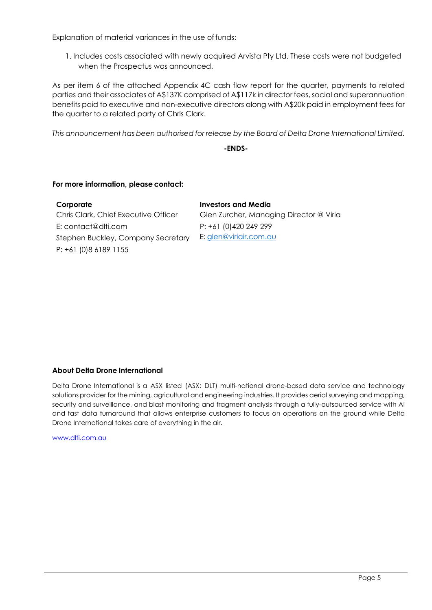Explanation of material variances in the use of funds:

1. Includes costs associated with newly acquired Arvista Pty Ltd. These costs were not budgeted when the Prospectus was announced.

As per item 6 of the attached Appendix 4C cash flow report for the quarter, payments to related parties and their associates of A\$137K comprised of A\$117k in director fees, social and superannuation benefits paid to executive and non-executive directors along with A\$20k paid in employment fees for the quarter to a related party of Chris Clark.

*This announcement has been authorised for release by the Board of Delta Drone International Limited.*

**-ENDS-**

#### **For more information, please contact:**

| Corporate                            | <b>Investors and Media</b>              |
|--------------------------------------|-----------------------------------------|
| Chris Clark, Chief Executive Officer | Glen Zurcher, Managing Director @ Viria |
| E: contact@dlti.com                  | P: +61 (0)420 249 299                   |
| Stephen Buckley, Company Secretary   | E: glen@viriair.com.au                  |
| P: +61 (0)8 6189 1155                |                                         |

# **About Delta Drone International**

Delta Drone International is a ASX listed (ASX: DLT) multi-national drone-based data service and technology solutions provider for the mining, agricultural and engineering industries. It provides aerial surveying and mapping, security and surveillance, and blast monitoring and fragment analysis through a fully-outsourced service with AI and fast data turnaround that allows enterprise customers to focus on operations on the ground while Delta Drone International takes care of everything in the air.

[www.dlti.com.au](http://www.dlti.com.au/)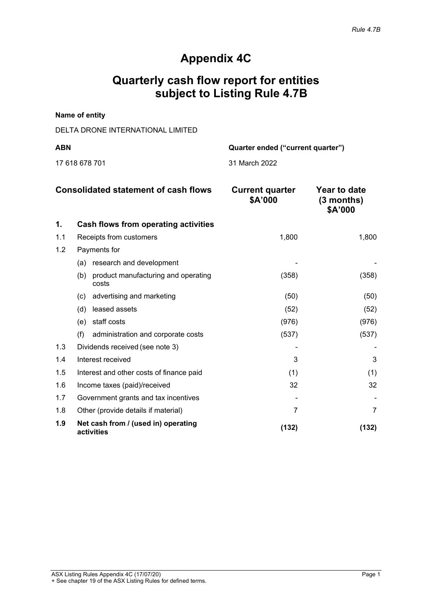# **Appendix 4C**

# **Quarterly cash flow report for entities subject to Listing Rule 4.7B**

#### **Name of entity**

# DELTA DRONE INTERNATIONAL LIMITED

17 618 678 701 31 March 2022

**ABN Quarter ended ("current quarter")**

| <b>Consolidated statement of cash flows</b> |                                                     | <b>Current quarter</b><br>\$A'000 | <b>Year to date</b><br>(3 months)<br>\$A'000 |
|---------------------------------------------|-----------------------------------------------------|-----------------------------------|----------------------------------------------|
| 1.                                          | Cash flows from operating activities                |                                   |                                              |
| 1.1                                         | Receipts from customers                             | 1,800                             | 1,800                                        |
| 1.2                                         | Payments for                                        |                                   |                                              |
|                                             | (a) research and development                        |                                   |                                              |
|                                             | product manufacturing and operating<br>(b)<br>costs | (358)                             | (358)                                        |
|                                             | advertising and marketing<br>(c)                    | (50)                              | (50)                                         |
|                                             | leased assets<br>(d)                                | (52)                              | (52)                                         |
|                                             | staff costs<br>(e)                                  | (976)                             | (976)                                        |
|                                             | (f)<br>administration and corporate costs           | (537)                             | (537)                                        |
| 1.3                                         | Dividends received (see note 3)                     |                                   |                                              |
| 1.4                                         | Interest received                                   | 3                                 | 3                                            |
| 1.5                                         | Interest and other costs of finance paid            | (1)                               | (1)                                          |
| 1.6                                         | Income taxes (paid)/received                        | 32                                | 32                                           |
| 1.7                                         | Government grants and tax incentives                |                                   |                                              |
| 1.8                                         | Other (provide details if material)                 | 7                                 |                                              |
| 1.9                                         | Net cash from / (used in) operating<br>activities   | (132)                             | (132)                                        |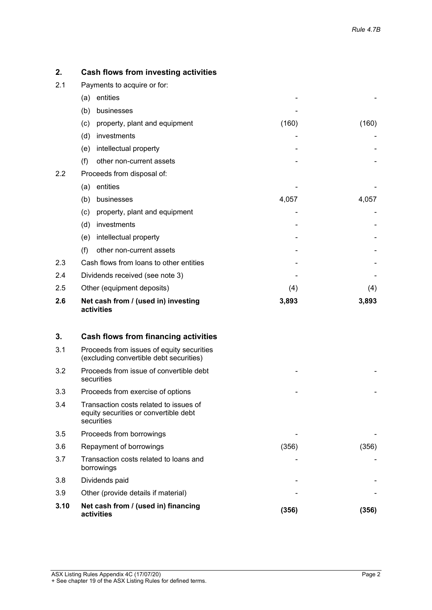| 2.  | Cash flows from investing activities              |       |       |
|-----|---------------------------------------------------|-------|-------|
| 2.1 | Payments to acquire or for:                       |       |       |
|     | entities<br>(a)                                   |       |       |
|     | (b)<br>businesses                                 |       |       |
|     | property, plant and equipment<br>(c)              | (160) | (160) |
|     | (d)<br>investments                                |       |       |
|     | intellectual property<br>(e)                      |       |       |
|     | (f)<br>other non-current assets                   |       |       |
| 2.2 | Proceeds from disposal of:                        |       |       |
|     | entities<br>(a)                                   |       |       |
|     | (b)<br>businesses                                 | 4,057 | 4,057 |
|     | property, plant and equipment<br>(c)              |       |       |
|     | (d)<br>investments                                |       |       |
|     | intellectual property<br>(e)                      |       |       |
|     | (f)<br>other non-current assets                   |       |       |
| 2.3 | Cash flows from loans to other entities           |       |       |
| 2.4 | Dividends received (see note 3)                   |       |       |
| 2.5 | Other (equipment deposits)                        | (4)   | (4)   |
| 2.6 | Net cash from / (used in) investing<br>activities | 3,893 | 3,893 |

| 3.   | Cash flows from financing activities                                                          |       |       |
|------|-----------------------------------------------------------------------------------------------|-------|-------|
| 3.1  | Proceeds from issues of equity securities<br>(excluding convertible debt securities)          |       |       |
| 3.2  | Proceeds from issue of convertible debt<br>securities                                         |       |       |
| 3.3  | Proceeds from exercise of options                                                             |       |       |
| 3.4  | Transaction costs related to issues of<br>equity securities or convertible debt<br>securities |       |       |
| 3.5  | Proceeds from borrowings                                                                      |       |       |
| 3.6  | Repayment of borrowings                                                                       | (356) | (356) |
| 3.7  | Transaction costs related to loans and<br>borrowings                                          |       |       |
| 3.8  | Dividends paid                                                                                |       |       |
| 3.9  | Other (provide details if material)                                                           |       |       |
| 3.10 | Net cash from / (used in) financing<br>activities                                             | (356) | (356) |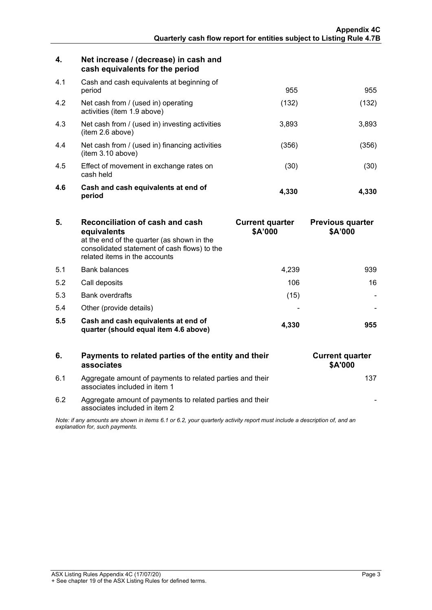| 4.  | Net increase / (decrease) in cash and<br>cash equivalents for the period |       |       |
|-----|--------------------------------------------------------------------------|-------|-------|
| 4.1 | Cash and cash equivalents at beginning of<br>period                      | 955   | 955   |
| 4.2 | Net cash from / (used in) operating<br>activities (item 1.9 above)       | (132) | (132) |
| 4.3 | Net cash from / (used in) investing activities<br>item 2.6 above)        | 3,893 | 3,893 |
| 4.4 | Net cash from / (used in) financing activities<br>(item 3.10 above)      | (356) | (356) |
| 4.5 | Effect of movement in exchange rates on<br>cash held                     | (30)  | (30)  |
| 4.6 | Cash and cash equivalents at end of<br>period                            | 4.330 | 4.330 |

| 5.  | Reconciliation of cash and cash<br>equivalents<br>at the end of the quarter (as shown in the<br>consolidated statement of cash flows) to the<br>related items in the accounts | <b>Current quarter</b><br>\$A'000 | <b>Previous quarter</b><br>\$A'000 |
|-----|-------------------------------------------------------------------------------------------------------------------------------------------------------------------------------|-----------------------------------|------------------------------------|
| 51  | <b>Bank balances</b>                                                                                                                                                          | 4.239                             | 939                                |
| 5.2 | Call deposits                                                                                                                                                                 | 106                               | 16                                 |
| 5.3 | <b>Bank overdrafts</b>                                                                                                                                                        | (15)                              |                                    |
| 5.4 | Other (provide details)                                                                                                                                                       |                                   |                                    |
| 5.5 | Cash and cash equivalents at end of<br>quarter (should equal item 4.6 above)                                                                                                  | 4.330                             | 955                                |

|                                                                                                                                                             | Payments to related parties of the entity and their<br>associates                          | <b>Current quarter</b><br><b>\$A'000</b> |
|-------------------------------------------------------------------------------------------------------------------------------------------------------------|--------------------------------------------------------------------------------------------|------------------------------------------|
| 6.1                                                                                                                                                         | Aggregate amount of payments to related parties and their<br>associates included in item 1 |                                          |
| 62                                                                                                                                                          | Aggregate amount of payments to related parties and their<br>associates included in item 2 |                                          |
| Note: if any amounts are shown in items 6.1 or 6.2, your quarterly activity report must include a description of, and an<br>explanation for, such payments. |                                                                                            |                                          |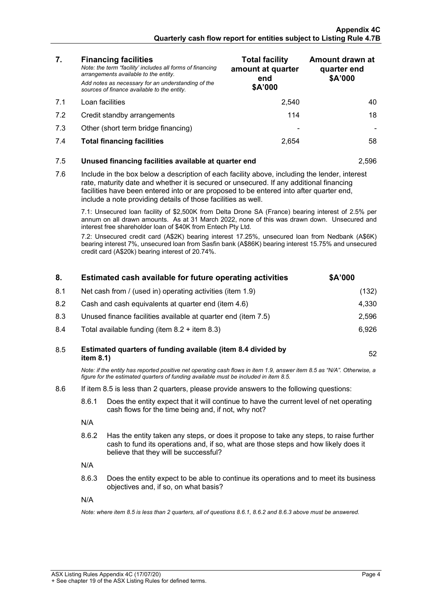| 7.                                                                                                                                                                                                                                                                | <b>Financing facilities</b><br>Note: the term "facility' includes all forms of financing<br>arrangements available to the entity.<br>Add notes as necessary for an understanding of the<br>sources of finance available to the entity.                                                                                                               | <b>Total facility</b><br>amount at quarter<br>end<br>\$A'000 | Amount drawn at<br>quarter end<br>\$A'000 |
|-------------------------------------------------------------------------------------------------------------------------------------------------------------------------------------------------------------------------------------------------------------------|------------------------------------------------------------------------------------------------------------------------------------------------------------------------------------------------------------------------------------------------------------------------------------------------------------------------------------------------------|--------------------------------------------------------------|-------------------------------------------|
| 7.1                                                                                                                                                                                                                                                               | Loan facilities                                                                                                                                                                                                                                                                                                                                      | 2,540                                                        | 40                                        |
| 7.2                                                                                                                                                                                                                                                               | Credit standby arrangements                                                                                                                                                                                                                                                                                                                          | 114                                                          | 18                                        |
| 7.3                                                                                                                                                                                                                                                               | Other (short term bridge financing)                                                                                                                                                                                                                                                                                                                  |                                                              |                                           |
| 7.4                                                                                                                                                                                                                                                               | <b>Total financing facilities</b>                                                                                                                                                                                                                                                                                                                    | 2,654                                                        | 58                                        |
| 7.5                                                                                                                                                                                                                                                               | Unused financing facilities available at quarter end<br>2,596                                                                                                                                                                                                                                                                                        |                                                              |                                           |
| 7.6                                                                                                                                                                                                                                                               | Include in the box below a description of each facility above, including the lender, interest<br>rate, maturity date and whether it is secured or unsecured. If any additional financing<br>facilities have been entered into or are proposed to be entered into after quarter end,<br>include a note providing details of those facilities as well. |                                                              |                                           |
| 7.1: Unsecured loan facility of \$2,500K from Delta Drone SA (France) bearing interest of 2.5% per<br>annum on all drawn amounts. As at 31 March 2022, none of this was drawn down. Unsecured and<br>interest free shareholder loan of \$40K from Entech Pty Ltd. |                                                                                                                                                                                                                                                                                                                                                      |                                                              |                                           |
|                                                                                                                                                                                                                                                                   | 7.2: Unsecured credit card (A\$2K) bearing interest 17.25%, unsecured loan from Nedbank (A\$6K)<br>bearing interest 7%, unsecured loan from Sasfin bank (A\$86K) bearing interest 15.75% and unsecured<br>credit card (A\$20k) bearing interest of 20.74%.                                                                                           |                                                              |                                           |

| 8.  |                                                                                                                                                                                                                                 | Estimated cash available for future operating activities      | \$A'000 |
|-----|---------------------------------------------------------------------------------------------------------------------------------------------------------------------------------------------------------------------------------|---------------------------------------------------------------|---------|
| 8.1 | Net cash from / (used in) operating activities (item 1.9)                                                                                                                                                                       |                                                               | (132)   |
| 8.2 | Cash and cash equivalents at quarter end (item 4.6)                                                                                                                                                                             |                                                               | 4,330   |
| 8.3 |                                                                                                                                                                                                                                 | Unused finance facilities available at quarter end (item 7.5) | 2,596   |
| 8.4 |                                                                                                                                                                                                                                 | Total available funding (item $8.2 +$ item $8.3$ )            | 6,926   |
| 8.5 | Estimated quarters of funding available (item 8.4 divided by<br>item 8.1)                                                                                                                                                       |                                                               | 52      |
|     | Note: if the entity has reported positive net operating cash flows in item 1.9, answer item 8.5 as "N/A". Otherwise, a<br>figure for the estimated quarters of funding available must be included in item 8.5.                  |                                                               |         |
| 8.6 | If item 8.5 is less than 2 quarters, please provide answers to the following questions:                                                                                                                                         |                                                               |         |
|     | 8.6.1<br>Does the entity expect that it will continue to have the current level of net operating<br>cash flows for the time being and, if not, why not?                                                                         |                                                               |         |
|     | N/A                                                                                                                                                                                                                             |                                                               |         |
|     | 8.6.2<br>Has the entity taken any steps, or does it propose to take any steps, to raise further<br>cash to fund its operations and, if so, what are those steps and how likely does it<br>believe that they will be successful? |                                                               |         |
|     | N/A<br>Does the entity expect to be able to continue its operations and to meet its business<br>8.6.3<br>objectives and, if so, on what basis?                                                                                  |                                                               |         |
|     |                                                                                                                                                                                                                                 |                                                               |         |

N/A

*Note: where item 8.5 is less than 2 quarters, all of questions 8.6.1, 8.6.2 and 8.6.3 above must be answered.*